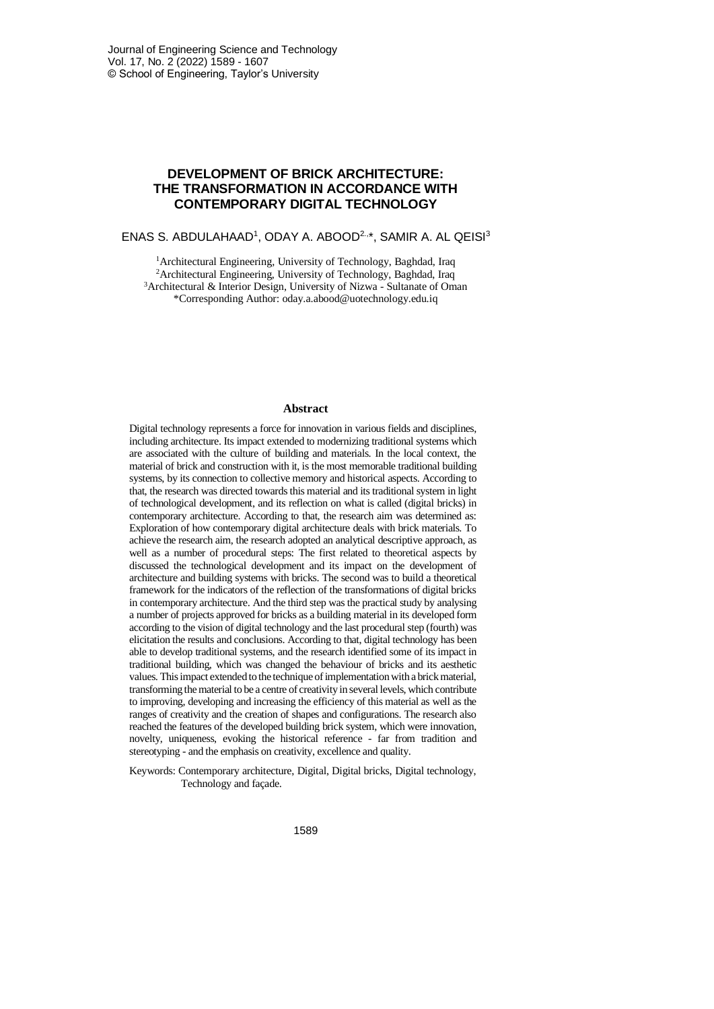# **DEVELOPMENT OF BRICK ARCHITECTURE: THE TRANSFORMATION IN ACCORDANCE WITH CONTEMPORARY DIGITAL TECHNOLOGY**

### ENAS S. ABDULAHAAD<sup>1</sup>, ODAY A. ABOOD<sup>2.,\*</sup>, SAMIR A. AL QEISI<sup>3</sup>

<sup>1</sup> Architectural Engineering, University of Technology, Baghdad, Iraq <sup>2</sup>Architectural Engineering, University of Technology, Baghdad, Iraq <sup>3</sup>Architectural & Interior Design, University of Nizwa - Sultanate of Oman \*Corresponding Author: oday.a.abood@uotechnology.edu.iq

#### **Abstract**

Digital technology represents a force for innovation in various fields and disciplines, including architecture. Its impact extended to modernizing traditional systems which are associated with the culture of building and materials. In the local context, the material of brick and construction with it, is the most memorable traditional building systems, by its connection to collective memory and historical aspects. According to that, the research was directed towards this material and its traditional system in light of technological development, and its reflection on what is called (digital bricks) in contemporary architecture. According to that, the research aim was determined as: Exploration of how contemporary digital architecture deals with brick materials. To achieve the research aim, the research adopted an analytical descriptive approach, as well as a number of procedural steps: The first related to theoretical aspects by discussed the technological development and its impact on the development of architecture and building systems with bricks. The second was to build a theoretical framework for the indicators of the reflection of the transformations of digital bricks in contemporary architecture. And the third step was the practical study by analysing a number of projects approved for bricks as a building material in its developed form according to the vision of digital technology and the last procedural step (fourth) was elicitation the results and conclusions. According to that, digital technology has been able to develop traditional systems, and the research identified some of its impact in traditional building, which was changed the behaviour of bricks and its aesthetic values. This impact extended to the technique of implementation with a brick material, transforming the material to be a centre of creativity in several levels, which contribute to improving, developing and increasing the efficiency of this material as well as the ranges of creativity and the creation of shapes and configurations. The research also reached the features of the developed building brick system, which were innovation, novelty, uniqueness, evoking the historical reference - far from tradition and stereotyping - and the emphasis on creativity, excellence and quality.

Keywords: Contemporary architecture, Digital, Digital bricks, Digital technology, Technology and façade.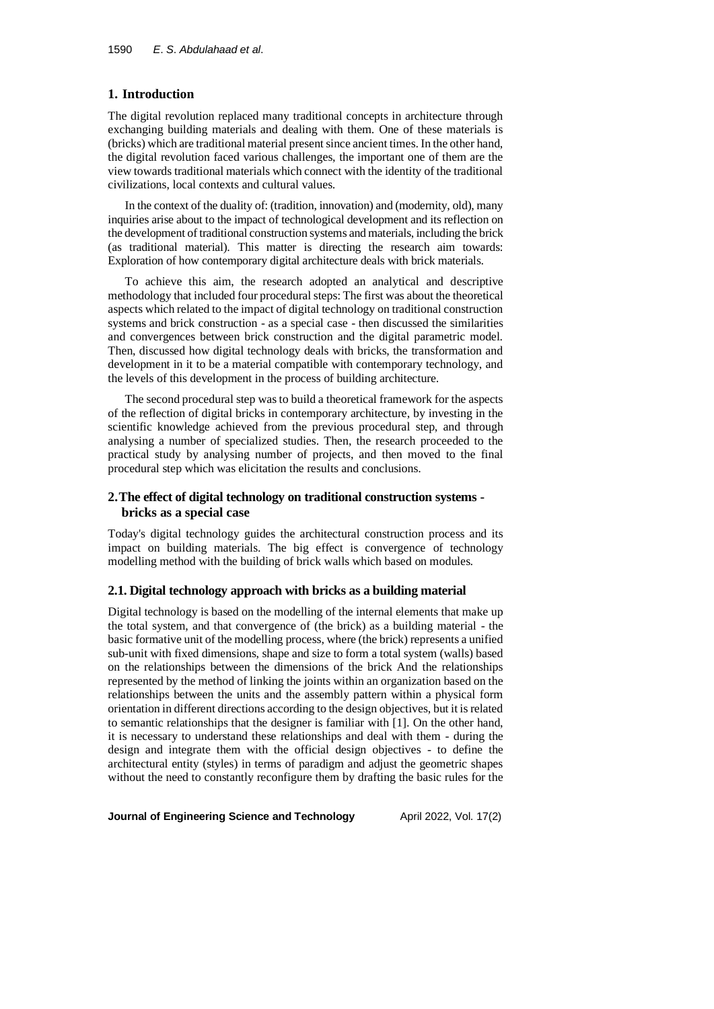# **1. Introduction**

The digital revolution replaced many traditional concepts in architecture through exchanging building materials and dealing with them. One of these materials is (bricks) which are traditional material present since ancient times. In the other hand, the digital revolution faced various challenges, the important one of them are the view towards traditional materials which connect with the identity of the traditional civilizations, local contexts and cultural values.

In the context of the duality of: (tradition, innovation) and (modernity, old), many inquiries arise about to the impact of technological development and its reflection on the development of traditional construction systems and materials, including the brick (as traditional material). This matter is directing the research aim towards: Exploration of how contemporary digital architecture deals with brick materials.

To achieve this aim, the research adopted an analytical and descriptive methodology that included four procedural steps: The first was about the theoretical aspects which related to the impact of digital technology on traditional construction systems and brick construction - as a special case - then discussed the similarities and convergences between brick construction and the digital parametric model. Then, discussed how digital technology deals with bricks, the transformation and development in it to be a material compatible with contemporary technology, and the levels of this development in the process of building architecture.

The second procedural step was to build a theoretical framework for the aspects of the reflection of digital bricks in contemporary architecture, by investing in the scientific knowledge achieved from the previous procedural step, and through analysing a number of specialized studies. Then, the research proceeded to the practical study by analysing number of projects, and then moved to the final procedural step which was elicitation the results and conclusions.

# **2.The effect of digital technology on traditional construction systems bricks as a special case**

Today's digital technology guides the architectural construction process and its impact on building materials. The big effect is convergence of technology modelling method with the building of brick walls which based on modules.

## **2.1. Digital technology approach with bricks as a building material**

Digital technology is based on the modelling of the internal elements that make up the total system, and that convergence of (the brick) as a building material - the basic formative unit of the modelling process, where (the brick) represents a unified sub-unit with fixed dimensions, shape and size to form a total system (walls) based on the relationships between the dimensions of the brick And the relationships represented by the method of linking the joints within an organization based on the relationships between the units and the assembly pattern within a physical form orientation in different directions according to the design objectives, but it is related to semantic relationships that the designer is familiar with [1]. On the other hand, it is necessary to understand these relationships and deal with them - during the design and integrate them with the official design objectives - to define the architectural entity (styles) in terms of paradigm and adjust the geometric shapes without the need to constantly reconfigure them by drafting the basic rules for the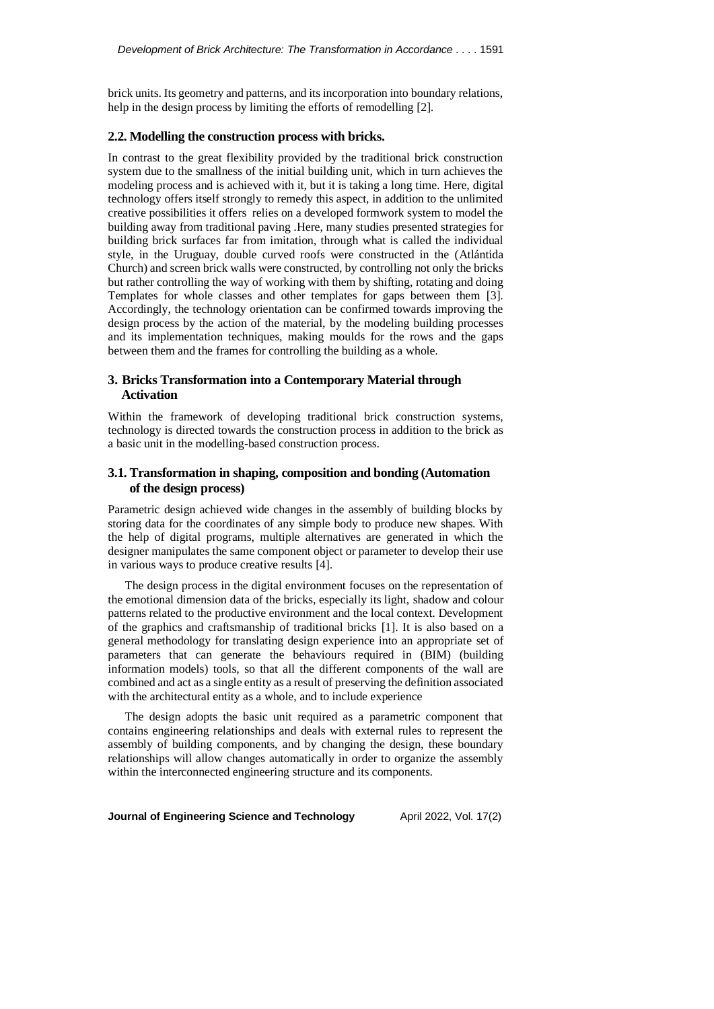brick units. Its geometry and patterns, and its incorporation into boundary relations, help in the design process by limiting the efforts of remodelling [2].

#### **2.2. Modelling the construction process with bricks.**

In contrast to the great flexibility provided by the traditional brick construction system due to the smallness of the initial building unit, which in turn achieves the modeling process and is achieved with it, but it is taking a long time. Here, digital technology offers itself strongly to remedy this aspect, in addition to the unlimited creative possibilities it offers relies on a developed formwork system to model the building away from traditional paving .Here, many studies presented strategies for building brick surfaces far from imitation, through what is called the individual style, in the Uruguay, double curved roofs were constructed in the (Atlántida Church) and screen brick walls were constructed, by controlling not only the bricks but rather controlling the way of working with them by shifting, rotating and doing Templates for whole classes and other templates for gaps between them [3]. Accordingly, the technology orientation can be confirmed towards improving the design process by the action of the material, by the modeling building processes and its implementation techniques, making moulds for the rows and the gaps between them and the frames for controlling the building as a whole.

### **3. Bricks Transformation into a Contemporary Material through Activation**

Within the framework of developing traditional brick construction systems, technology is directed towards the construction process in addition to the brick as a basic unit in the modelling-based construction process.

### **3.1. Transformation in shaping, composition and bonding (Automation of the design process)**

Parametric design achieved wide changes in the assembly of building blocks by storing data for the coordinates of any simple body to produce new shapes. With the help of digital programs, multiple alternatives are generated in which the designer manipulates the same component object or parameter to develop their use in various ways to produce creative results [4].

The design process in the digital environment focuses on the representation of the emotional dimension data of the bricks, especially its light, shadow and colour patterns related to the productive environment and the local context. Development of the graphics and craftsmanship of traditional bricks [1]. It is also based on a general methodology for translating design experience into an appropriate set of parameters that can generate the behaviours required in (BIM) (building information models) tools, so that all the different components of the wall are combined and act as a single entity as a result of preserving the definition associated with the architectural entity as a whole, and to include experience

The design adopts the basic unit required as a parametric component that contains engineering relationships and deals with external rules to represent the assembly of building components, and by changing the design, these boundary relationships will allow changes automatically in order to organize the assembly within the interconnected engineering structure and its components.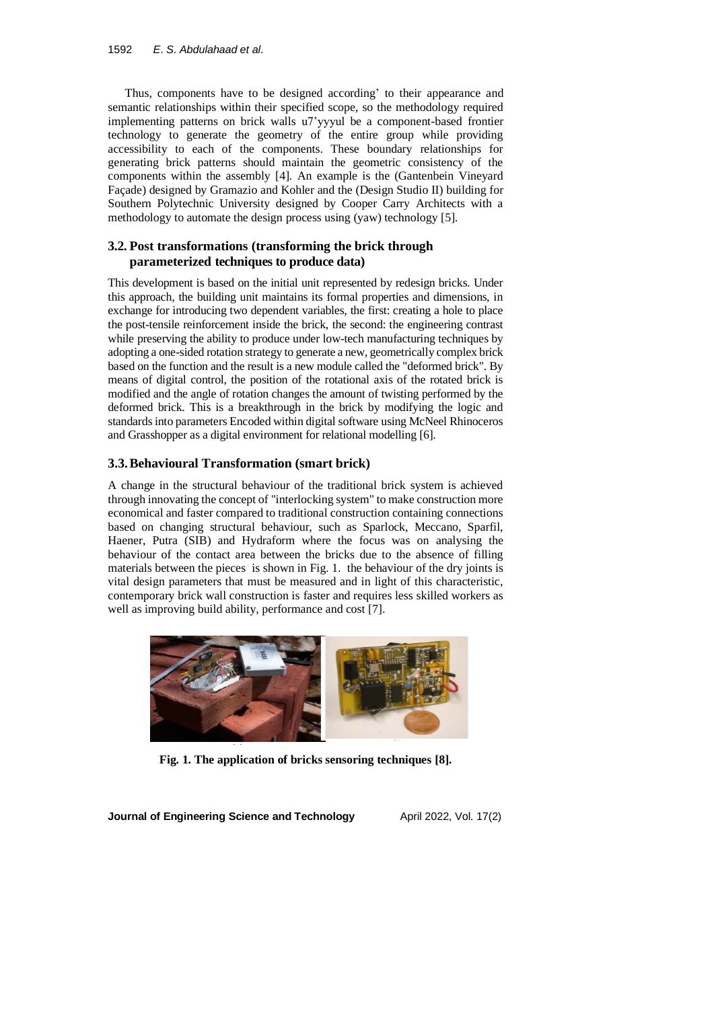Thus, components have to be designed according' to their appearance and semantic relationships within their specified scope, so the methodology required implementing patterns on brick walls u7'yyyul be a component-based frontier technology to generate the geometry of the entire group while providing accessibility to each of the components. These boundary relationships for generating brick patterns should maintain the geometric consistency of the components within the assembly [4]. An example is the (Gantenbein Vineyard Façade) designed by Gramazio and Kohler and the (Design Studio II) building for Southern Polytechnic University designed by Cooper Carry Architects with a methodology to automate the design process using (yaw) technology [5].

# **3.2. Post transformations (transforming the brick through parameterized techniques to produce data)**

This development is based on the initial unit represented by redesign bricks. Under this approach, the building unit maintains its formal properties and dimensions, in exchange for introducing two dependent variables, the first: creating a hole to place the post-tensile reinforcement inside the brick, the second: the engineering contrast while preserving the ability to produce under low-tech manufacturing techniques by adopting a one-sided rotation strategy to generate a new, geometrically complex brick based on the function and the result is a new module called the "deformed brick". By means of digital control, the position of the rotational axis of the rotated brick is modified and the angle of rotation changes the amount of twisting performed by the deformed brick. This is a breakthrough in the brick by modifying the logic and standards into parameters Encoded within digital software using McNeel Rhinoceros and Grasshopper as a digital environment for relational modelling [6].

# **3.3.Behavioural Transformation (smart brick)**

A change in the structural behaviour of the traditional brick system is achieved through innovating the concept of "interlocking system" to make construction more economical and faster compared to traditional construction containing connections based on changing structural behaviour, such as Sparlock, Meccano, Sparfil, Haener, Putra (SIB) and Hydraform where the focus was on analysing the behaviour of the contact area between the bricks due to the absence of filling materials between the pieces is shown in Fig. 1. the behaviour of the dry joints is vital design parameters that must be measured and in light of this characteristic, contemporary brick wall construction is faster and requires less skilled workers as well as improving build ability, performance and cost [7].



**Fig. 1. The application of bricks sensoring techniques [8].**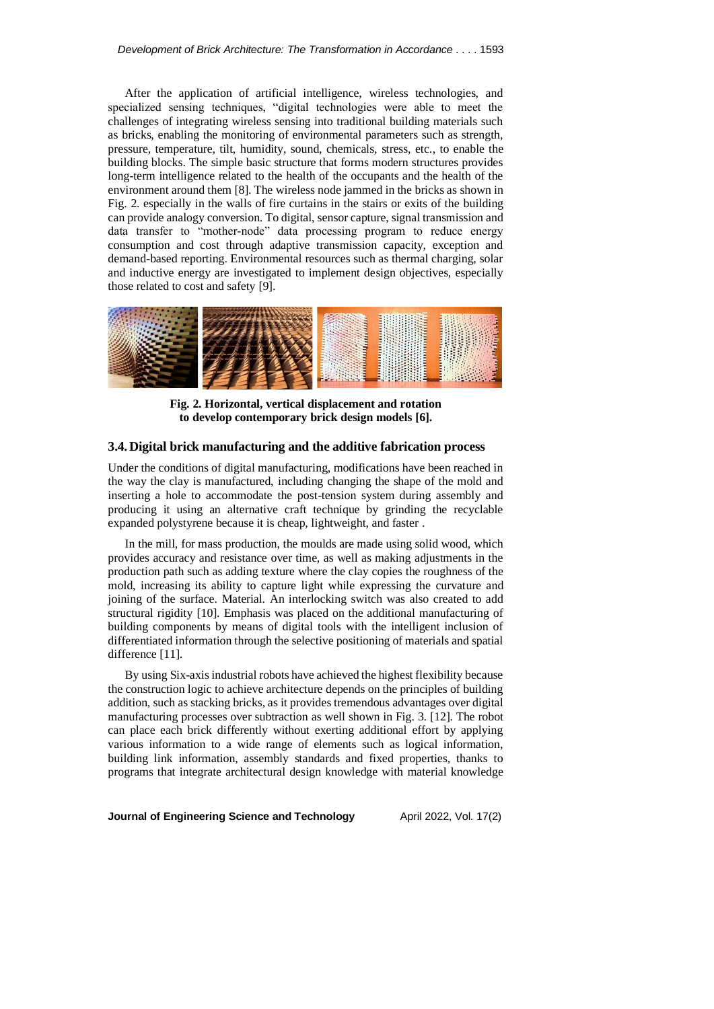After the application of artificial intelligence, wireless technologies, and specialized sensing techniques, "digital technologies were able to meet the challenges of integrating wireless sensing into traditional building materials such as bricks, enabling the monitoring of environmental parameters such as strength, pressure, temperature, tilt, humidity, sound, chemicals, stress, etc., to enable the building blocks. The simple basic structure that forms modern structures provides long-term intelligence related to the health of the occupants and the health of the environment around them [8]. The wireless node jammed in the bricks as shown in Fig. 2. especially in the walls of fire curtains in the stairs or exits of the building can provide analogy conversion. To digital, sensor capture, signal transmission and data transfer to "mother-node" data processing program to reduce energy consumption and cost through adaptive transmission capacity, exception and demand-based reporting. Environmental resources such as thermal charging, solar and inductive energy are investigated to implement design objectives, especially those related to cost and safety [9].



**Fig. 2. Horizontal, vertical displacement and rotation to develop contemporary brick design models [6].**

### **3.4.Digital brick manufacturing and the additive fabrication process**

Under the conditions of digital manufacturing, modifications have been reached in the way the clay is manufactured, including changing the shape of the mold and inserting a hole to accommodate the post-tension system during assembly and producing it using an alternative craft technique by grinding the recyclable expanded polystyrene because it is cheap, lightweight, and faster .

In the mill, for mass production, the moulds are made using solid wood, which provides accuracy and resistance over time, as well as making adjustments in the production path such as adding texture where the clay copies the roughness of the mold, increasing its ability to capture light while expressing the curvature and joining of the surface. Material. An interlocking switch was also created to add structural rigidity [10]. Emphasis was placed on the additional manufacturing of building components by means of digital tools with the intelligent inclusion of differentiated information through the selective positioning of materials and spatial difference [11].

By using Six-axis industrial robots have achieved the highest flexibility because the construction logic to achieve architecture depends on the principles of building addition, such as stacking bricks, as it provides tremendous advantages over digital manufacturing processes over subtraction as well shown in Fig. 3. [12]. The robot can place each brick differently without exerting additional effort by applying various information to a wide range of elements such as logical information, building link information, assembly standards and fixed properties, thanks to programs that integrate architectural design knowledge with material knowledge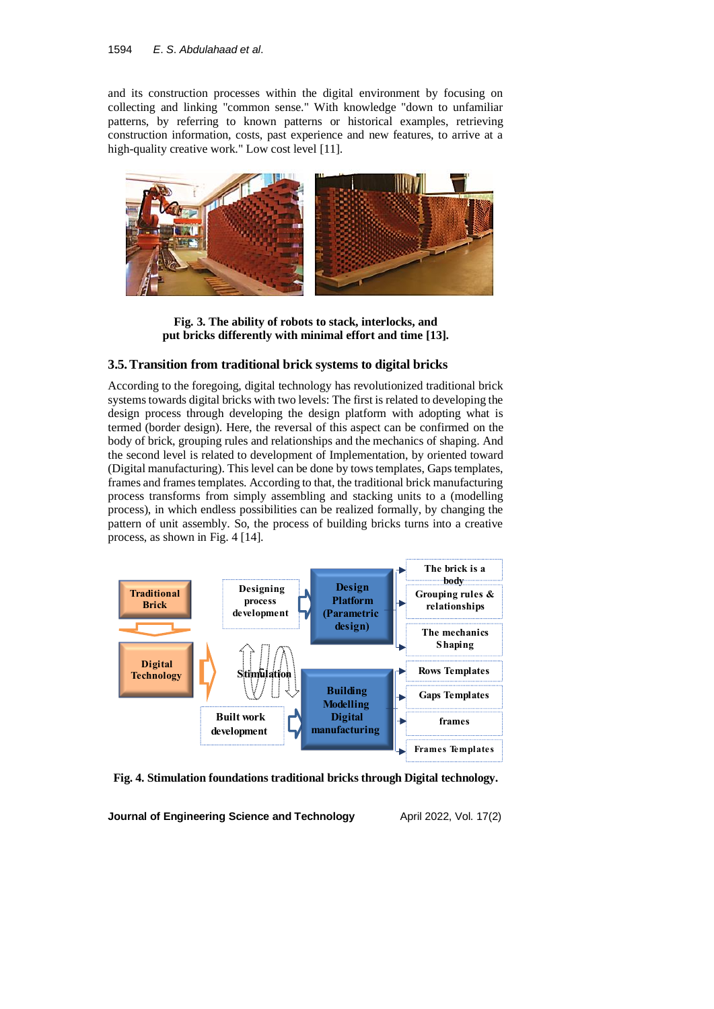and its construction processes within the digital environment by focusing on collecting and linking "common sense." With knowledge "down to unfamiliar patterns, by referring to known patterns or historical examples, retrieving construction information, costs, past experience and new features, to arrive at a high-quality creative work." Low cost level [11].



**Fig. 3. The ability of robots to stack, interlocks, and put bricks differently with minimal effort and time [13].**

## **3.5.Transition from traditional brick systems to digital bricks**

According to the foregoing, digital technology has revolutionized traditional brick systems towards digital bricks with two levels: The first is related to developing the design process through developing the design platform with adopting what is termed (border design). Here, the reversal of this aspect can be confirmed on the body of brick, grouping rules and relationships and the mechanics of shaping. And the second level is related to development of Implementation, by oriented toward (Digital manufacturing). This level can be done by tows templates, Gaps templates, frames and frames templates. According to that, the traditional brick manufacturing process transforms from simply assembling and stacking units to a (modelling process), in which endless possibilities can be realized formally, by changing the pattern of unit assembly. So, the process of building bricks turns into a creative process, as shown in Fig. 4 [14].



**Fig. 4. Stimulation foundations traditional bricks through Digital technology.**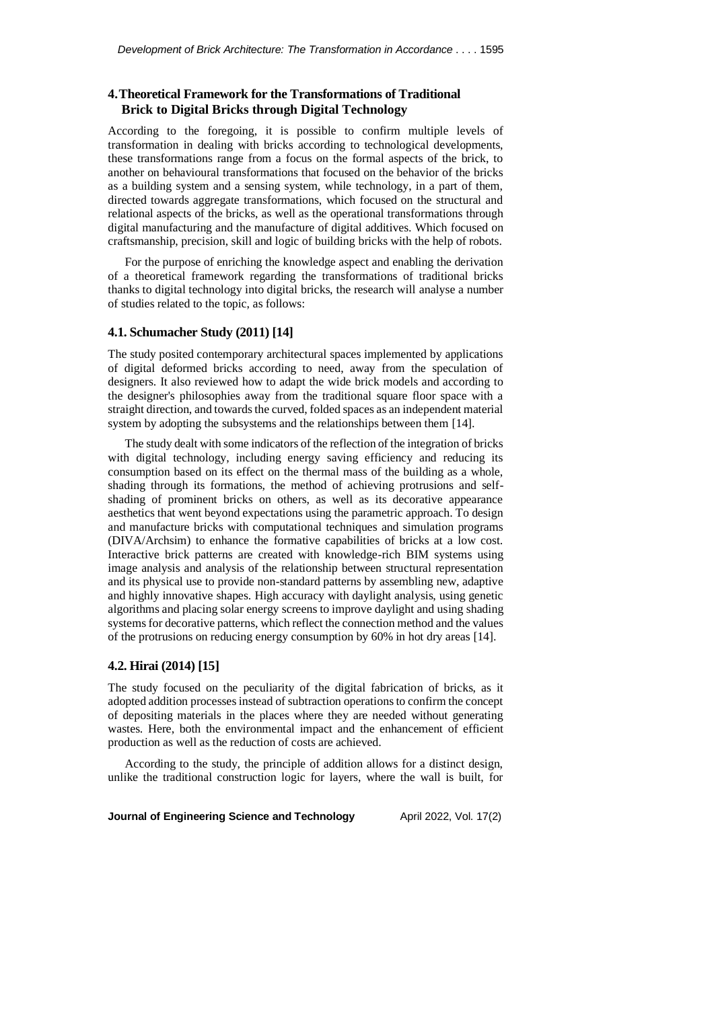# **4.Theoretical Framework for the Transformations of Traditional Brick to Digital Bricks through Digital Technology**

According to the foregoing, it is possible to confirm multiple levels of transformation in dealing with bricks according to technological developments, these transformations range from a focus on the formal aspects of the brick, to another on behavioural transformations that focused on the behavior of the bricks as a building system and a sensing system, while technology, in a part of them, directed towards aggregate transformations, which focused on the structural and relational aspects of the bricks, as well as the operational transformations through digital manufacturing and the manufacture of digital additives. Which focused on craftsmanship, precision, skill and logic of building bricks with the help of robots.

For the purpose of enriching the knowledge aspect and enabling the derivation of a theoretical framework regarding the transformations of traditional bricks thanks to digital technology into digital bricks, the research will analyse a number of studies related to the topic, as follows:

### **4.1. Schumacher Study (2011) [14]**

The study posited contemporary architectural spaces implemented by applications of digital deformed bricks according to need, away from the speculation of designers. It also reviewed how to adapt the wide brick models and according to the designer's philosophies away from the traditional square floor space with a straight direction, and towards the curved, folded spaces as an independent material system by adopting the subsystems and the relationships between them [14].

The study dealt with some indicators of the reflection of the integration of bricks with digital technology, including energy saving efficiency and reducing its consumption based on its effect on the thermal mass of the building as a whole, shading through its formations, the method of achieving protrusions and selfshading of prominent bricks on others, as well as its decorative appearance aesthetics that went beyond expectations using the parametric approach. To design and manufacture bricks with computational techniques and simulation programs (DIVA/Archsim) to enhance the formative capabilities of bricks at a low cost. Interactive brick patterns are created with knowledge-rich BIM systems using image analysis and analysis of the relationship between structural representation and its physical use to provide non-standard patterns by assembling new, adaptive and highly innovative shapes. High accuracy with daylight analysis, using genetic algorithms and placing solar energy screens to improve daylight and using shading systems for decorative patterns, which reflect the connection method and the values of the protrusions on reducing energy consumption by 60% in hot dry areas [14].

### **4.2. Hirai (2014) [15]**

The study focused on the peculiarity of the digital fabrication of bricks, as it adopted addition processes instead of subtraction operations to confirm the concept of depositing materials in the places where they are needed without generating wastes. Here, both the environmental impact and the enhancement of efficient production as well as the reduction of costs are achieved.

According to the study, the principle of addition allows for a distinct design, unlike the traditional construction logic for layers, where the wall is built, for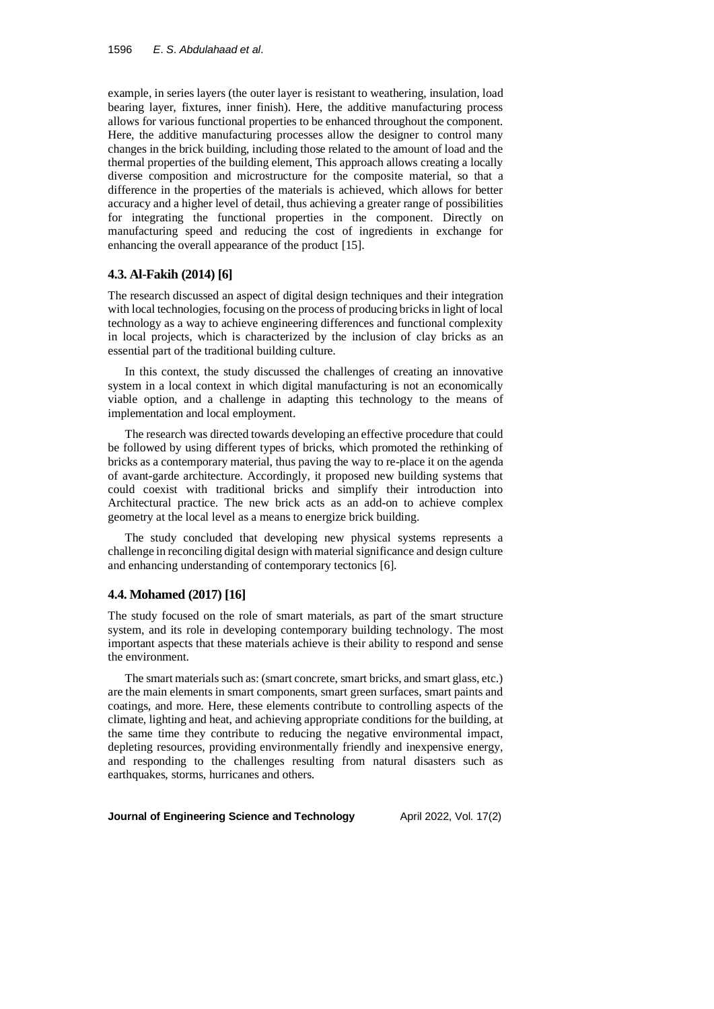example, in series layers (the outer layer is resistant to weathering, insulation, load bearing layer, fixtures, inner finish). Here, the additive manufacturing process allows for various functional properties to be enhanced throughout the component. Here, the additive manufacturing processes allow the designer to control many changes in the brick building, including those related to the amount of load and the thermal properties of the building element, This approach allows creating a locally diverse composition and microstructure for the composite material, so that a difference in the properties of the materials is achieved, which allows for better accuracy and a higher level of detail, thus achieving a greater range of possibilities for integrating the functional properties in the component. Directly on manufacturing speed and reducing the cost of ingredients in exchange for enhancing the overall appearance of the product [15].

#### **4.3. Al-Fakih (2014) [6]**

The research discussed an aspect of digital design techniques and their integration with local technologies, focusing on the process of producing bricks in light of local technology as a way to achieve engineering differences and functional complexity in local projects, which is characterized by the inclusion of clay bricks as an essential part of the traditional building culture.

In this context, the study discussed the challenges of creating an innovative system in a local context in which digital manufacturing is not an economically viable option, and a challenge in adapting this technology to the means of implementation and local employment.

The research was directed towards developing an effective procedure that could be followed by using different types of bricks, which promoted the rethinking of bricks as a contemporary material, thus paving the way to re-place it on the agenda of avant-garde architecture. Accordingly, it proposed new building systems that could coexist with traditional bricks and simplify their introduction into Architectural practice. The new brick acts as an add-on to achieve complex geometry at the local level as a means to energize brick building.

The study concluded that developing new physical systems represents a challenge in reconciling digital design with material significance and design culture and enhancing understanding of contemporary tectonics [6].

#### **4.4. Mohamed (2017) [16]**

The study focused on the role of smart materials, as part of the smart structure system, and its role in developing contemporary building technology. The most important aspects that these materials achieve is their ability to respond and sense the environment.

The smart materials such as: (smart concrete, smart bricks, and smart glass, etc.) are the main elements in smart components, smart green surfaces, smart paints and coatings, and more. Here, these elements contribute to controlling aspects of the climate, lighting and heat, and achieving appropriate conditions for the building, at the same time they contribute to reducing the negative environmental impact, depleting resources, providing environmentally friendly and inexpensive energy, and responding to the challenges resulting from natural disasters such as earthquakes, storms, hurricanes and others.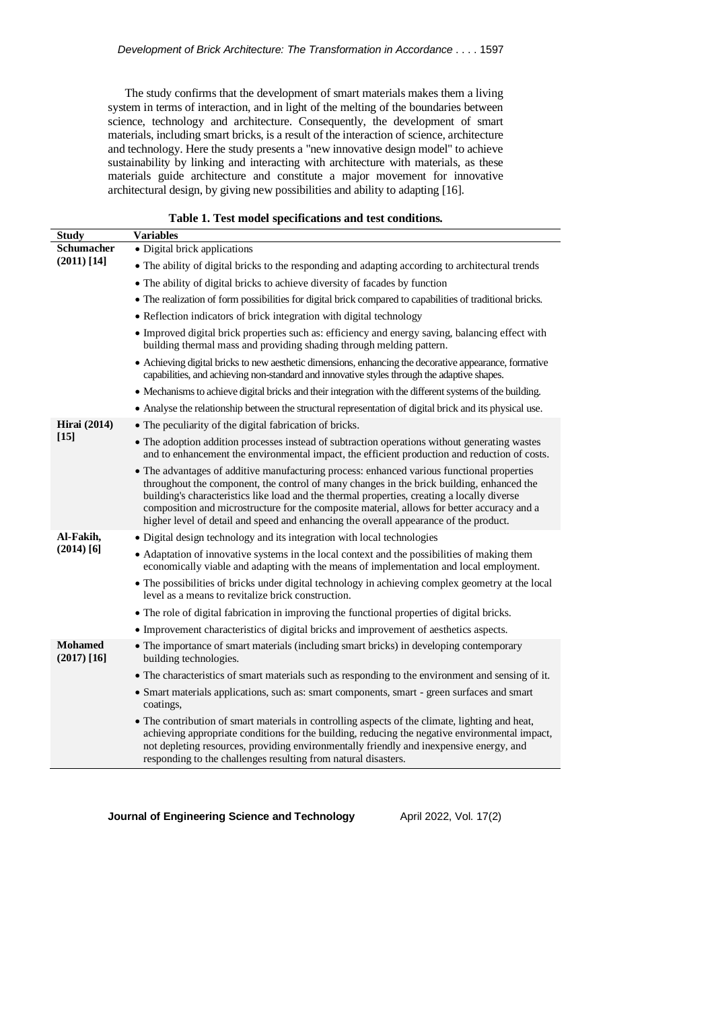The study confirms that the development of smart materials makes them a living system in terms of interaction, and in light of the melting of the boundaries between science, technology and architecture. Consequently, the development of smart materials, including smart bricks, is a result of the interaction of science, architecture and technology. Here the study presents a "new innovative design model" to achieve sustainability by linking and interacting with architecture with materials, as these materials guide architecture and constitute a major movement for innovative architectural design, by giving new possibilities and ability to adapting [16].

| Table 1. Test model specifications and test conditions. |                                                                                                                                                                                                                                                                                                                                                                                                                                                                                |  |  |  |
|---------------------------------------------------------|--------------------------------------------------------------------------------------------------------------------------------------------------------------------------------------------------------------------------------------------------------------------------------------------------------------------------------------------------------------------------------------------------------------------------------------------------------------------------------|--|--|--|
| <b>Study</b>                                            | <b>Variables</b>                                                                                                                                                                                                                                                                                                                                                                                                                                                               |  |  |  |
| <b>Schumacher</b>                                       | • Digital brick applications                                                                                                                                                                                                                                                                                                                                                                                                                                                   |  |  |  |
| $(2011)$ [14]                                           | • The ability of digital bricks to the responding and adapting according to architectural trends                                                                                                                                                                                                                                                                                                                                                                               |  |  |  |
|                                                         | • The ability of digital bricks to achieve diversity of facades by function                                                                                                                                                                                                                                                                                                                                                                                                    |  |  |  |
|                                                         | • The realization of form possibilities for digital brick compared to capabilities of traditional bricks.                                                                                                                                                                                                                                                                                                                                                                      |  |  |  |
|                                                         | • Reflection indicators of brick integration with digital technology                                                                                                                                                                                                                                                                                                                                                                                                           |  |  |  |
|                                                         | • Improved digital brick properties such as: efficiency and energy saving, balancing effect with<br>building thermal mass and providing shading through melding pattern.                                                                                                                                                                                                                                                                                                       |  |  |  |
|                                                         | • Achieving digital bricks to new aesthetic dimensions, enhancing the decorative appearance, formative<br>capabilities, and achieving non-standard and innovative styles through the adaptive shapes.                                                                                                                                                                                                                                                                          |  |  |  |
|                                                         | • Mechanisms to achieve digital bricks and their integration with the different systems of the building.                                                                                                                                                                                                                                                                                                                                                                       |  |  |  |
|                                                         | • Analyse the relationship between the structural representation of digital brick and its physical use.                                                                                                                                                                                                                                                                                                                                                                        |  |  |  |
| <b>Hirai</b> (2014)                                     | • The peculiarity of the digital fabrication of bricks.                                                                                                                                                                                                                                                                                                                                                                                                                        |  |  |  |
| $[15]$                                                  | • The adoption addition processes instead of subtraction operations without generating wastes<br>and to enhancement the environmental impact, the efficient production and reduction of costs.                                                                                                                                                                                                                                                                                 |  |  |  |
|                                                         | • The advantages of additive manufacturing process: enhanced various functional properties<br>throughout the component, the control of many changes in the brick building, enhanced the<br>building's characteristics like load and the thermal properties, creating a locally diverse<br>composition and microstructure for the composite material, allows for better accuracy and a<br>higher level of detail and speed and enhancing the overall appearance of the product. |  |  |  |
| Al-Fakih,<br>$(2014)$ [6]                               | · Digital design technology and its integration with local technologies                                                                                                                                                                                                                                                                                                                                                                                                        |  |  |  |
|                                                         | • Adaptation of innovative systems in the local context and the possibilities of making them<br>economically viable and adapting with the means of implementation and local employment.                                                                                                                                                                                                                                                                                        |  |  |  |
|                                                         | • The possibilities of bricks under digital technology in achieving complex geometry at the local<br>level as a means to revitalize brick construction.                                                                                                                                                                                                                                                                                                                        |  |  |  |
|                                                         | • The role of digital fabrication in improving the functional properties of digital bricks.                                                                                                                                                                                                                                                                                                                                                                                    |  |  |  |
|                                                         | • Improvement characteristics of digital bricks and improvement of aesthetics aspects.                                                                                                                                                                                                                                                                                                                                                                                         |  |  |  |
| <b>Mohamed</b><br>$(2017)$ [16]                         | • The importance of smart materials (including smart bricks) in developing contemporary<br>building technologies.                                                                                                                                                                                                                                                                                                                                                              |  |  |  |
|                                                         | • The characteristics of smart materials such as responding to the environment and sensing of it.                                                                                                                                                                                                                                                                                                                                                                              |  |  |  |
|                                                         | • Smart materials applications, such as: smart components, smart - green surfaces and smart<br>coatings,                                                                                                                                                                                                                                                                                                                                                                       |  |  |  |
|                                                         | • The contribution of smart materials in controlling aspects of the climate, lighting and heat,<br>achieving appropriate conditions for the building, reducing the negative environmental impact,<br>not depleting resources, providing environmentally friendly and inexpensive energy, and<br>responding to the challenges resulting from natural disasters.                                                                                                                 |  |  |  |

#### **Table 1. Test model specifications and test conditions.**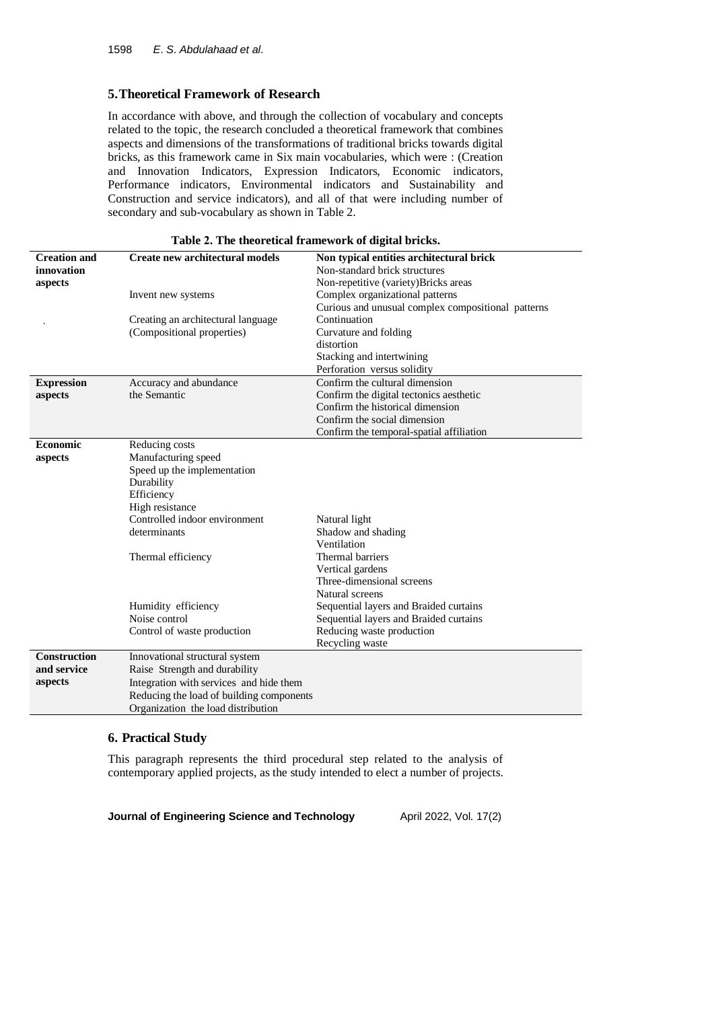# **5.Theoretical Framework of Research**

In accordance with above, and through the collection of vocabulary and concepts related to the topic, the research concluded a theoretical framework that combines aspects and dimensions of the transformations of traditional bricks towards digital bricks, as this framework came in Six main vocabularies, which were : (Creation and Innovation Indicators, Expression Indicators, Economic indicators, Performance indicators, Environmental indicators and Sustainability and Construction and service indicators), and all of that were including number of secondary and sub-vocabulary as shown in Table 2.

| <b>Creation and</b> | Create new architectural models          | Non typical entities architectural brick           |  |  |  |  |
|---------------------|------------------------------------------|----------------------------------------------------|--|--|--|--|
| innovation          |                                          | Non-standard brick structures                      |  |  |  |  |
| aspects             |                                          | Non-repetitive (variety)Bricks areas               |  |  |  |  |
|                     | Invent new systems                       | Complex organizational patterns                    |  |  |  |  |
|                     |                                          | Curious and unusual complex compositional patterns |  |  |  |  |
|                     | Creating an architectural language       | Continuation                                       |  |  |  |  |
|                     | (Compositional properties)               | Curvature and folding                              |  |  |  |  |
|                     |                                          | distortion                                         |  |  |  |  |
|                     |                                          | Stacking and intertwining                          |  |  |  |  |
|                     |                                          | Perforation versus solidity                        |  |  |  |  |
| <b>Expression</b>   | Accuracy and abundance                   | Confirm the cultural dimension                     |  |  |  |  |
| aspects             | the Semantic                             | Confirm the digital tectonics aesthetic            |  |  |  |  |
|                     |                                          | Confirm the historical dimension                   |  |  |  |  |
|                     |                                          | Confirm the social dimension                       |  |  |  |  |
|                     |                                          | Confirm the temporal-spatial affiliation           |  |  |  |  |
| <b>Economic</b>     | Reducing costs                           |                                                    |  |  |  |  |
| aspects             | Manufacturing speed                      |                                                    |  |  |  |  |
|                     | Speed up the implementation              |                                                    |  |  |  |  |
|                     | Durability                               |                                                    |  |  |  |  |
|                     | Efficiency                               |                                                    |  |  |  |  |
|                     | High resistance                          |                                                    |  |  |  |  |
|                     | Controlled indoor environment            | Natural light                                      |  |  |  |  |
|                     | determinants                             | Shadow and shading                                 |  |  |  |  |
|                     |                                          | Ventilation                                        |  |  |  |  |
|                     | Thermal efficiency                       | Thermal barriers                                   |  |  |  |  |
|                     |                                          | Vertical gardens                                   |  |  |  |  |
|                     |                                          | Three-dimensional screens                          |  |  |  |  |
|                     |                                          | Natural screens                                    |  |  |  |  |
|                     | Humidity efficiency                      | Sequential layers and Braided curtains             |  |  |  |  |
|                     | Noise control                            | Sequential layers and Braided curtains             |  |  |  |  |
|                     | Control of waste production              | Reducing waste production                          |  |  |  |  |
|                     |                                          | Recycling waste                                    |  |  |  |  |
| <b>Construction</b> | Innovational structural system           |                                                    |  |  |  |  |
| and service         | Raise Strength and durability            |                                                    |  |  |  |  |
| aspects             | Integration with services and hide them  |                                                    |  |  |  |  |
|                     | Reducing the load of building components |                                                    |  |  |  |  |
|                     | Organization the load distribution       |                                                    |  |  |  |  |

#### **Table 2. The theoretical framework of digital bricks.**

# **6. Practical Study**

This paragraph represents the third procedural step related to the analysis of contemporary applied projects, as the study intended to elect a number of projects.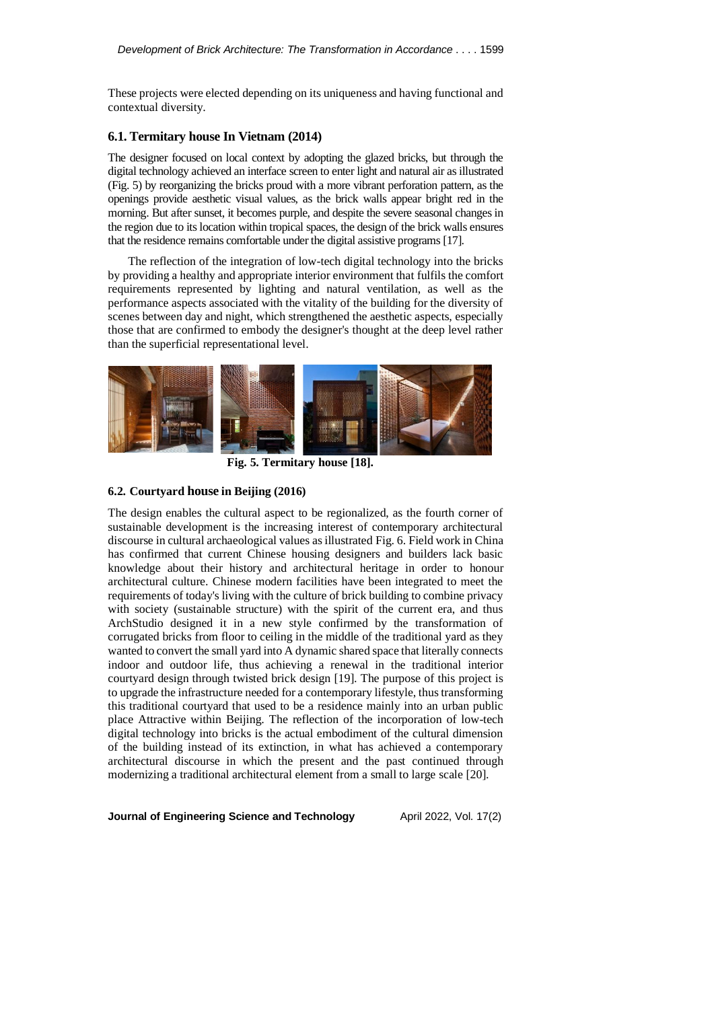These projects were elected depending on its uniqueness and having functional and contextual diversity.

### **6.1. Termitary house In Vietnam (2014)**

The designer focused on local context by adopting the glazed bricks, but through the digital technology achieved an interface screen to enter light and natural air as illustrated (Fig. 5) by reorganizing the bricks proud with a more vibrant perforation pattern, as the openings provide aesthetic visual values, as the brick walls appear bright red in the morning. But after sunset, it becomes purple, and despite the severe seasonal changes in the region due to its location within tropical spaces, the design of the brick walls ensures that the residence remains comfortable under the digital assistive programs [17].

The reflection of the integration of low-tech digital technology into the bricks by providing a healthy and appropriate interior environment that fulfils the comfort requirements represented by lighting and natural ventilation, as well as the performance aspects associated with the vitality of the building for the diversity of scenes between day and night, which strengthened the aesthetic aspects, especially those that are confirmed to embody the designer's thought at the deep level rather than the superficial representational level.



**Fig. 5. Termitary house [18].**

### **6.2. Courtyard house in Beijing (2016)**

The design enables the cultural aspect to be regionalized, as the fourth corner of sustainable development is the increasing interest of contemporary architectural discourse in cultural archaeological values as illustrated Fig. 6. Field work in China has confirmed that current Chinese housing designers and builders lack basic knowledge about their history and architectural heritage in order to honour architectural culture. Chinese modern facilities have been integrated to meet the requirements of today's living with the culture of brick building to combine privacy with society (sustainable structure) with the spirit of the current era, and thus ArchStudio designed it in a new style confirmed by the transformation of corrugated bricks from floor to ceiling in the middle of the traditional yard as they wanted to convert the small yard into A dynamic shared space that literally connects indoor and outdoor life, thus achieving a renewal in the traditional interior courtyard design through twisted brick design [19]. The purpose of this project is to upgrade the infrastructure needed for a contemporary lifestyle, thus transforming this traditional courtyard that used to be a residence mainly into an urban public place Attractive within Beijing. The reflection of the incorporation of low-tech digital technology into bricks is the actual embodiment of the cultural dimension of the building instead of its extinction, in what has achieved a contemporary architectural discourse in which the present and the past continued through modernizing a traditional architectural element from a small to large scale [20].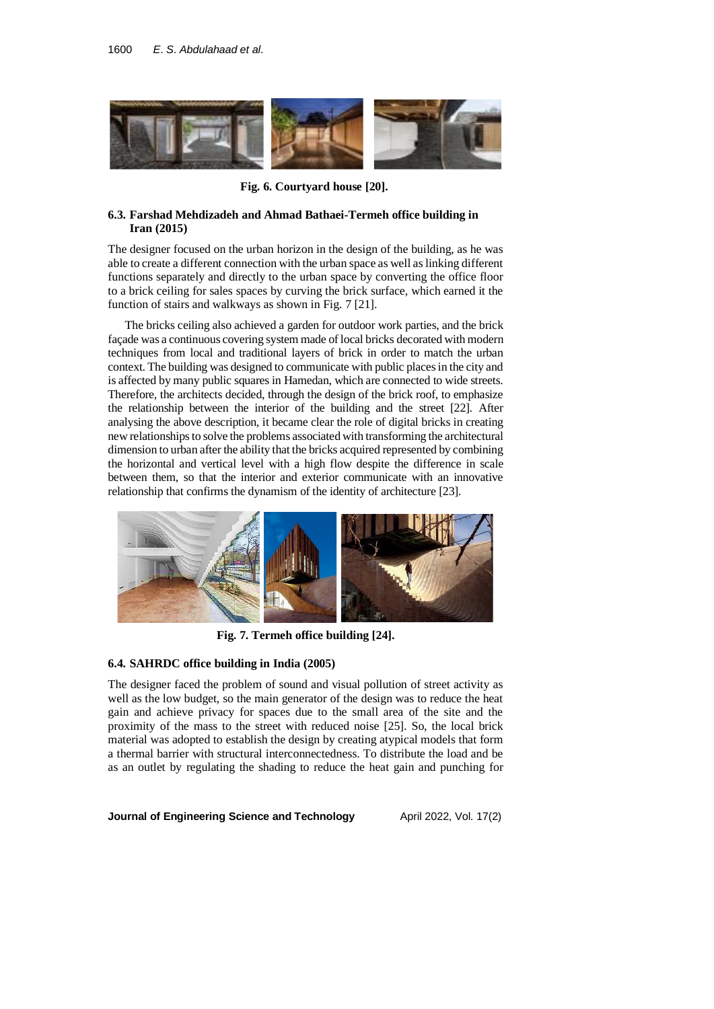

**Fig. 6. Courtyard house [20].**

### **6.3. Farshad Mehdizadeh and Ahmad Bathaei-Termeh office building in Iran (2015)**

The designer focused on the urban horizon in the design of the building, as he was able to create a different connection with the urban space as well as linking different functions separately and directly to the urban space by converting the office floor to a brick ceiling for sales spaces by curving the brick surface, which earned it the function of stairs and walkways as shown in Fig. 7 [21].

The bricks ceiling also achieved a garden for outdoor work parties, and the brick façade was a continuous covering system made of local bricks decorated with modern techniques from local and traditional layers of brick in order to match the urban context. The building was designed to communicate with public places in the city and is affected by many public squares in Hamedan, which are connected to wide streets. Therefore, the architects decided, through the design of the brick roof, to emphasize the relationship between the interior of the building and the street [22]. After analysing the above description, it became clear the role of digital bricks in creating new relationships to solve the problems associated with transforming the architectural dimension to urban after the ability that the bricks acquired represented by combining the horizontal and vertical level with a high flow despite the difference in scale between them, so that the interior and exterior communicate with an innovative relationship that confirms the dynamism of the identity of architecture [23].



**Fig. 7. Termeh office building [24].**

#### **6.4. SAHRDC office building in India (2005)**

The designer faced the problem of sound and visual pollution of street activity as well as the low budget, so the main generator of the design was to reduce the heat gain and achieve privacy for spaces due to the small area of the site and the proximity of the mass to the street with reduced noise [25]. So, the local brick material was adopted to establish the design by creating atypical models that form a thermal barrier with structural interconnectedness. To distribute the load and be as an outlet by regulating the shading to reduce the heat gain and punching for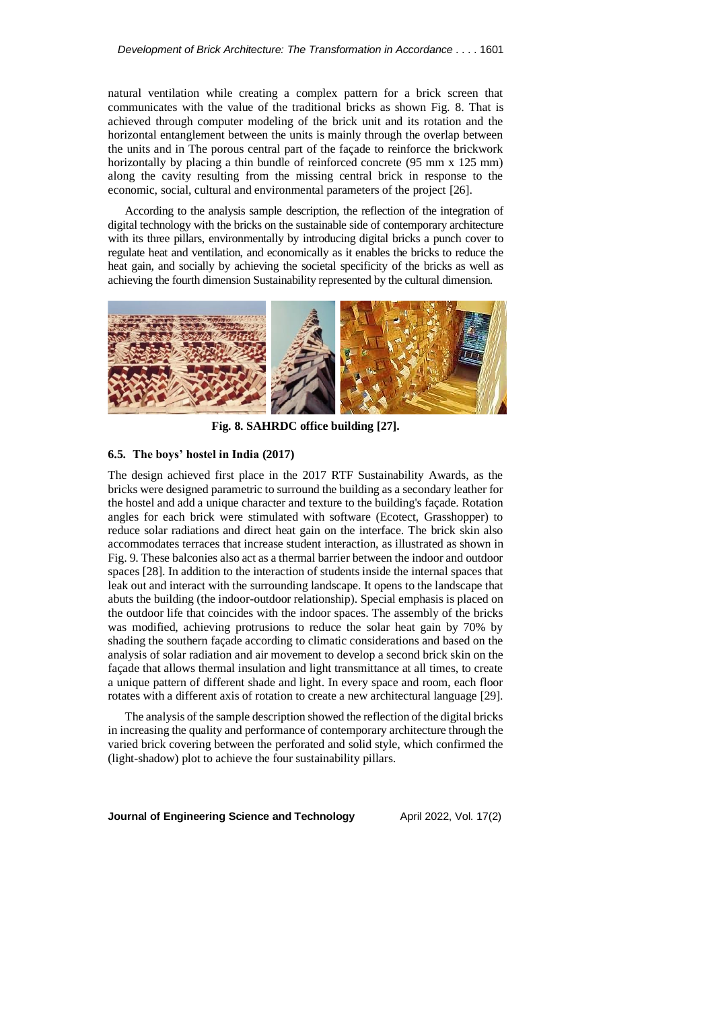natural ventilation while creating a complex pattern for a brick screen that communicates with the value of the traditional bricks as shown Fig. 8. That is achieved through computer modeling of the brick unit and its rotation and the horizontal entanglement between the units is mainly through the overlap between the units and in The porous central part of the façade to reinforce the brickwork horizontally by placing a thin bundle of reinforced concrete (95 mm x 125 mm) along the cavity resulting from the missing central brick in response to the economic, social, cultural and environmental parameters of the project [26].

According to the analysis sample description, the reflection of the integration of digital technology with the bricks on the sustainable side of contemporary architecture with its three pillars, environmentally by introducing digital bricks a punch cover to regulate heat and ventilation, and economically as it enables the bricks to reduce the heat gain, and socially by achieving the societal specificity of the bricks as well as achieving the fourth dimension Sustainability represented by the cultural dimension.



**Fig. 8. SAHRDC office building [27].**

### **6.5.** The boys' hostel in India (2017)

The design achieved first place in the 2017 RTF Sustainability Awards, as the bricks were designed parametric to surround the building as a secondary leather for the hostel and add a unique character and texture to the building's façade. Rotation angles for each brick were stimulated with software (Ecotect, Grasshopper) to reduce solar radiations and direct heat gain on the interface. The brick skin also accommodates terraces that increase student interaction, as illustrated as shown in Fig. 9. These balconies also act as a thermal barrier between the indoor and outdoor spaces [28]. In addition to the interaction of students inside the internal spaces that leak out and interact with the surrounding landscape. It opens to the landscape that abuts the building (the indoor-outdoor relationship). Special emphasis is placed on the outdoor life that coincides with the indoor spaces. The assembly of the bricks was modified, achieving protrusions to reduce the solar heat gain by 70% by shading the southern façade according to climatic considerations and based on the analysis of solar radiation and air movement to develop a second brick skin on the façade that allows thermal insulation and light transmittance at all times, to create a unique pattern of different shade and light. In every space and room, each floor rotates with a different axis of rotation to create a new architectural language [29].

The analysis of the sample description showed the reflection of the digital bricks in increasing the quality and performance of contemporary architecture through the varied brick covering between the perforated and solid style, which confirmed the (light-shadow) plot to achieve the four sustainability pillars.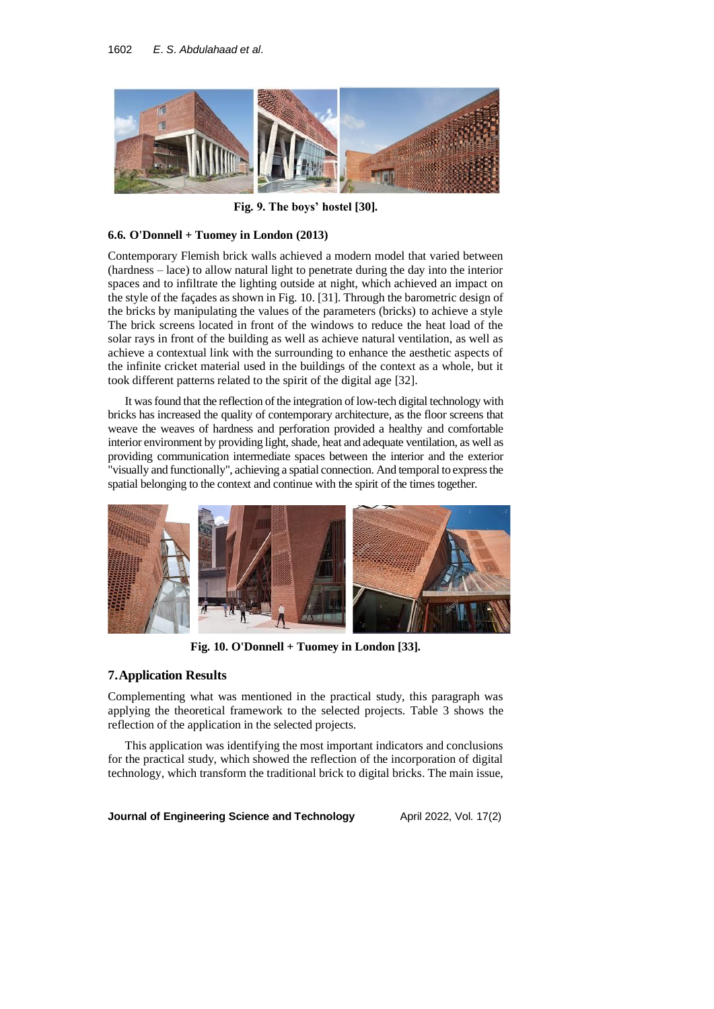

**Fig.** 9. The boys' hostel [30].

## **6.6. O'Donnell + Tuomey in London (2013)**

Contemporary Flemish brick walls achieved a modern model that varied between (hardness – lace) to allow natural light to penetrate during the day into the interior spaces and to infiltrate the lighting outside at night, which achieved an impact on the style of the façades as shown in Fig. 10. [31]. Through the barometric design of the bricks by manipulating the values of the parameters (bricks) to achieve a style The brick screens located in front of the windows to reduce the heat load of the solar rays in front of the building as well as achieve natural ventilation, as well as achieve a contextual link with the surrounding to enhance the aesthetic aspects of the infinite cricket material used in the buildings of the context as a whole, but it took different patterns related to the spirit of the digital age [32].

It was found that the reflection of the integration of low-tech digital technology with bricks has increased the quality of contemporary architecture, as the floor screens that weave the weaves of hardness and perforation provided a healthy and comfortable interior environment by providing light, shade, heat and adequate ventilation, as well as providing communication intermediate spaces between the interior and the exterior "visually and functionally", achieving a spatial connection. And temporal to express the spatial belonging to the context and continue with the spirit of the times together.



**Fig. 10. O'Donnell + Tuomey in London [33].**

## **7.Application Results**

Complementing what was mentioned in the practical study, this paragraph was applying the theoretical framework to the selected projects. Table 3 shows the reflection of the application in the selected projects.

This application was identifying the most important indicators and conclusions for the practical study, which showed the reflection of the incorporation of digital technology, which transform the traditional brick to digital bricks. The main issue,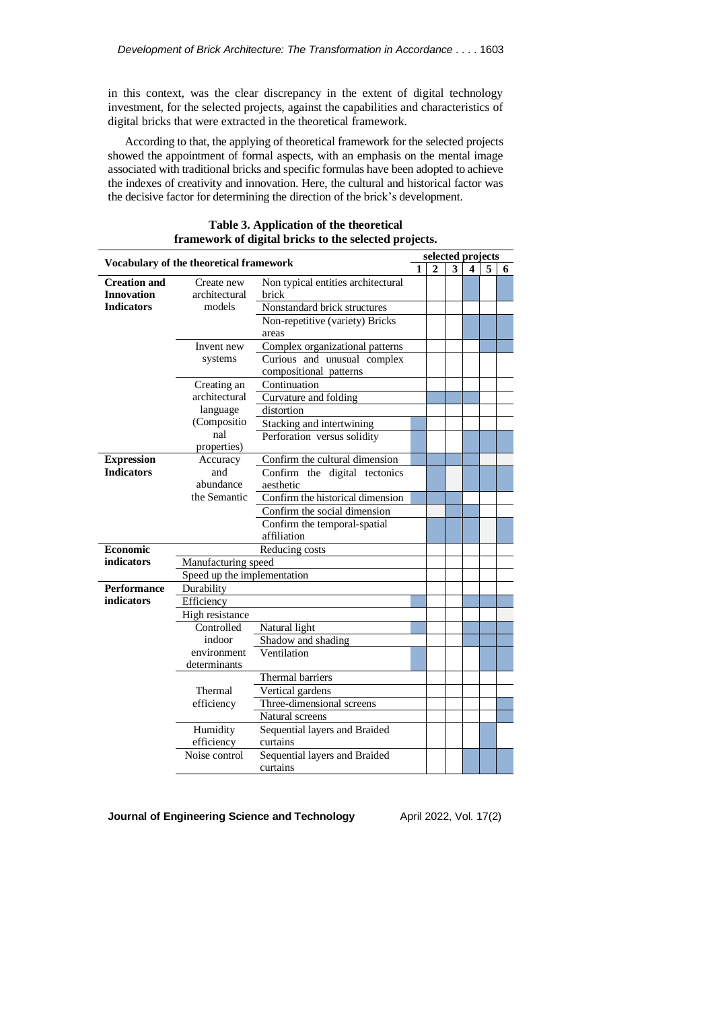in this context, was the clear discrepancy in the extent of digital technology investment, for the selected projects, against the capabilities and characteristics of digital bricks that were extracted in the theoretical framework.

According to that, the applying of theoretical framework for the selected projects showed the appointment of formal aspects, with an emphasis on the mental image associated with traditional bricks and specific formulas have been adopted to achieve the indexes of creativity and innovation. Here, the cultural and historical factor was the decisive factor for determining the direction of the brick's development.

| Vocabulary of the theoretical framework |                             | selected projects                  |              |   |   |   |   |  |  |
|-----------------------------------------|-----------------------------|------------------------------------|--------------|---|---|---|---|--|--|
|                                         |                             | 1                                  | $\mathbf{2}$ | 3 | 4 | 5 | 6 |  |  |
| <b>Creation and</b>                     | Create new                  | Non typical entities architectural |              |   |   |   |   |  |  |
| <b>Innovation</b>                       | architectural               | brick                              |              |   |   |   |   |  |  |
| <b>Indicators</b>                       | models                      | Nonstandard brick structures       |              |   |   |   |   |  |  |
|                                         |                             | Non-repetitive (variety) Bricks    |              |   |   |   |   |  |  |
|                                         |                             | areas                              |              |   |   |   |   |  |  |
|                                         | Invent new                  | Complex organizational patterns    |              |   |   |   |   |  |  |
|                                         | systems                     | Curious and unusual complex        |              |   |   |   |   |  |  |
|                                         |                             | compositional patterns             |              |   |   |   |   |  |  |
|                                         | Creating an                 | Continuation                       |              |   |   |   |   |  |  |
|                                         | architectural               | Curvature and folding              |              |   |   |   |   |  |  |
|                                         | language                    | distortion                         |              |   |   |   |   |  |  |
|                                         | (Compositio                 | Stacking and intertwining          |              |   |   |   |   |  |  |
|                                         | nal                         | Perforation versus solidity        |              |   |   |   |   |  |  |
|                                         | properties)                 |                                    |              |   |   |   |   |  |  |
| <b>Expression</b>                       | Accuracy                    | Confirm the cultural dimension     |              |   |   |   |   |  |  |
| <b>Indicators</b>                       | and                         | Confirm the digital tectonics      |              |   |   |   |   |  |  |
|                                         | abundance                   | aesthetic                          |              |   |   |   |   |  |  |
|                                         | the Semantic                | Confirm the historical dimension   |              |   |   |   |   |  |  |
|                                         |                             | Confirm the social dimension       |              |   |   |   |   |  |  |
|                                         |                             | Confirm the temporal-spatial       |              |   |   |   |   |  |  |
|                                         |                             | affiliation                        |              |   |   |   |   |  |  |
| <b>Economic</b>                         |                             | Reducing costs                     |              |   |   |   |   |  |  |
| indicators                              | Manufacturing speed         |                                    |              |   |   |   |   |  |  |
|                                         | Speed up the implementation |                                    |              |   |   |   |   |  |  |
| <b>Performance</b>                      | Durability                  |                                    |              |   |   |   |   |  |  |
| indicators                              | Efficiency                  |                                    |              |   |   |   |   |  |  |
|                                         | High resistance             |                                    |              |   |   |   |   |  |  |
|                                         | Controlled                  | Natural light                      |              |   |   |   |   |  |  |
|                                         | indoor                      | Shadow and shading                 |              |   |   |   |   |  |  |
|                                         | environment                 | Ventilation                        |              |   |   |   |   |  |  |
|                                         | determinants                |                                    |              |   |   |   |   |  |  |
|                                         |                             | Thermal barriers                   |              |   |   |   |   |  |  |
|                                         | Thermal                     | Vertical gardens                   |              |   |   |   |   |  |  |
|                                         | efficiency                  | Three-dimensional screens          |              |   |   |   |   |  |  |
|                                         |                             | Natural screens                    |              |   |   |   |   |  |  |
|                                         | Humidity                    | Sequential layers and Braided      |              |   |   |   |   |  |  |
|                                         | efficiency                  | curtains                           |              |   |   |   |   |  |  |
|                                         | Noise control               | Sequential layers and Braided      |              |   |   |   |   |  |  |
|                                         |                             | curtains                           |              |   |   |   |   |  |  |

### **Table 3. Application of the theoretical framework of digital bricks to the selected projects.**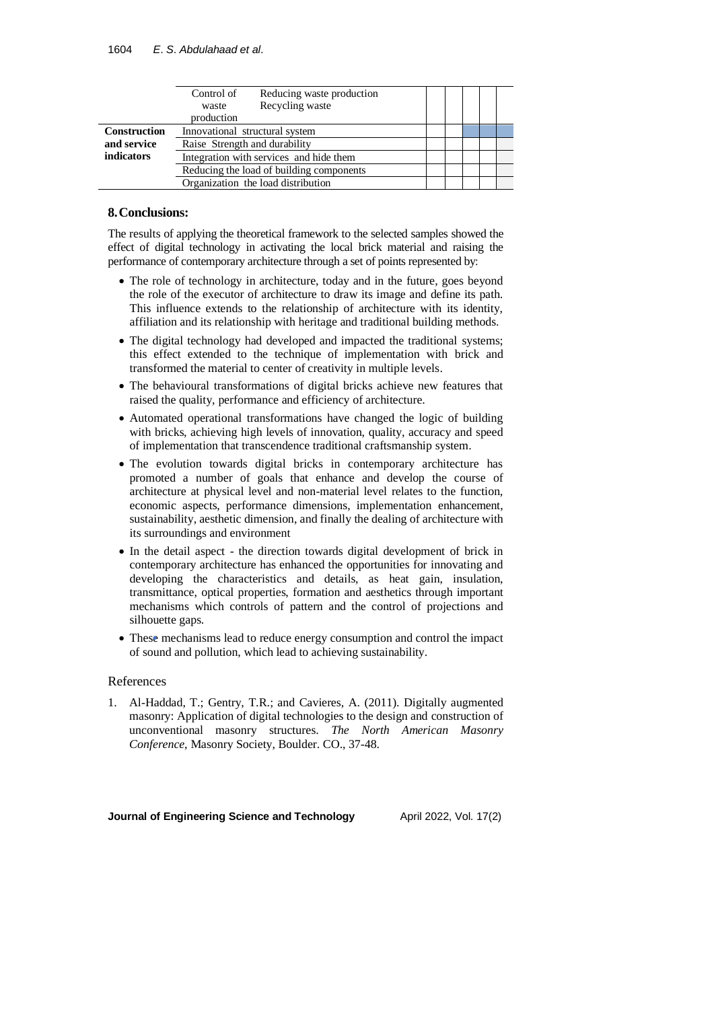|                     | Reducing waste production<br>Control of<br>Recycling waste<br>waste<br>production |  |  |  |
|---------------------|-----------------------------------------------------------------------------------|--|--|--|
| <b>Construction</b> | Innovational structural system                                                    |  |  |  |
| and service         | Raise Strength and durability                                                     |  |  |  |
| indicators          | Integration with services and hide them                                           |  |  |  |
|                     | Reducing the load of building components                                          |  |  |  |
|                     | Organization the load distribution                                                |  |  |  |

## **8.Conclusions:**

The results of applying the theoretical framework to the selected samples showed the effect of digital technology in activating the local brick material and raising the performance of contemporary architecture through a set of points represented by :

- The role of technology in architecture, today and in the future, goes beyond the role of the executor of architecture to draw its image and define its path. This influence extends to the relationship of architecture with its identity, affiliation and its relationship with heritage and traditional building methods.
- The digital technology had developed and impacted the traditional systems; this effect extended to the technique of implementation with brick and transformed the material to center of creativity in multiple levels.
- The behavioural transformations of digital bricks achieve new features that raised the quality, performance and efficiency of architecture.
- Automated operational transformations have changed the logic of building with bricks, achieving high levels of innovation, quality, accuracy and speed of implementation that transcendence traditional craftsmanship system.
- The evolution towards digital bricks in contemporary architecture has promoted a number of goals that enhance and develop the course of architecture at physical level and non-material level relates to the function, economic aspects, performance dimensions, implementation enhancement, sustainability, aesthetic dimension, and finally the dealing of architecture with its surroundings and environment
- In the detail aspect the direction towards digital development of brick in contemporary architecture has enhanced the opportunities for innovating and developing the characteristics and details, as heat gain, insulation, transmittance, optical properties, formation and aesthetics through important mechanisms which controls of pattern and the control of projections and silhouette gaps.
- These mechanisms lead to reduce energy consumption and control the impact of sound and pollution, which lead to achieving sustainability.

### References

1. Al-Haddad, T.; Gentry, T.R.; and Cavieres, A. (2011). Digitally augmented masonry: Application of digital technologies to the design and construction of unconventional masonry structures. *The North American Masonry Conference*, Masonry Society, Boulder. CO., 37-48.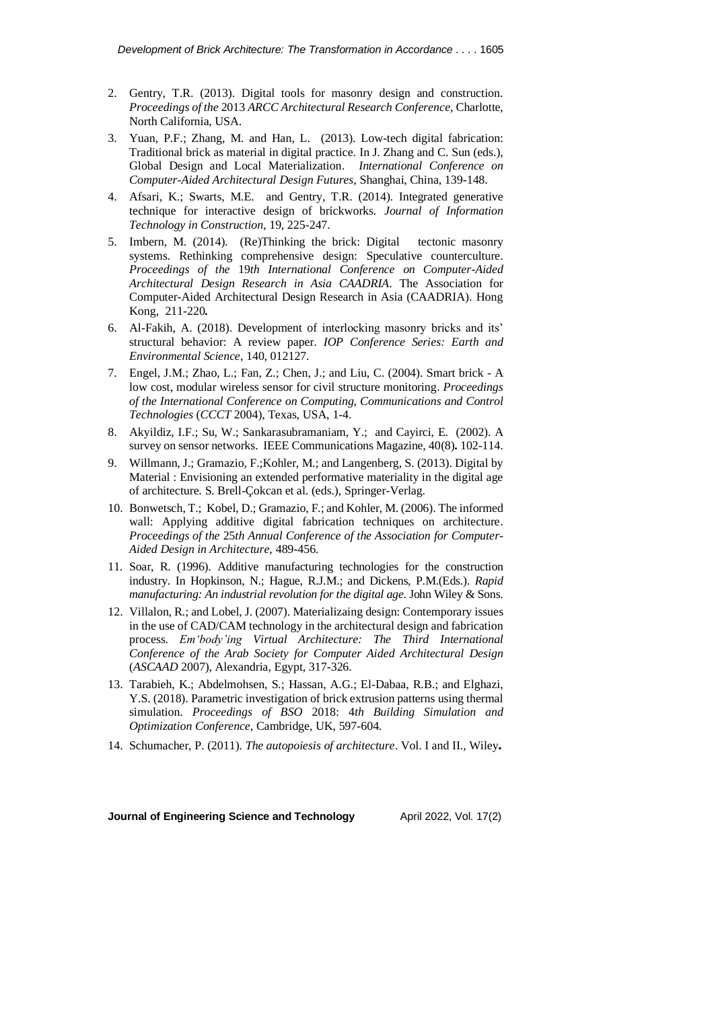- 2. Gentry, T.R. (2013). Digital tools for masonry design and construction. *Proceedings of the* 2013 *ARCC Architectural Research Conference*, Charlotte, North California, USA.
- 3. Yuan, P.F.; Zhang, M. and Han, L. (2013). Low-tech digital fabrication: Traditional brick as material in digital practice. In J. Zhang and C. Sun (eds.), Global Design and Local Materialization. *International Conference on Computer-Aided Architectural Design Futures*, Shanghai, China, 139-148.
- 4. Afsari, K.; Swarts, M.E. and Gentry, T.R. (2014). Integrated generative technique for interactive design of brickworks. *Journal of Information Technology in Construction*, 19, 225-247.
- 5. Imbern, M. (2014). (Re)Thinking the brick: Digital tectonic masonry systems. Rethinking comprehensive design: Speculative counterculture. *Proceedings of the* 19*th International Conference on Computer-Aided Architectural Design Research in Asia CAADRIA*. The Association for Computer-Aided Architectural Design Research in Asia (CAADRIA). Hong Kong, 211-220 **.**
- 6. Al-Fakih, A. (2018). Development of interlocking masonry bricks and its' structural behavior: A review paper. *IOP Conference Series: Earth and Environmental Science*, 140, 012127.
- 7. Engel, J.M.; Zhao, L.; Fan, Z.; Chen, J.; and Liu, C. (2004). Smart brick A low cost, modular wireless sensor for civil structure monitoring. *Proceedings of the International Conference on Computing*, *Communications and Control Technologies* (*CCCT* 2004), Texas, USA, 1-4.
- 8. Akyildiz, I.F.; Su, W.; Sankarasubramaniam, Y.; and Cayirci, E. (2002). A survey on sensor networks. IEEE Communications Magazine, 40(8). 102-114.
- 9. Willmann, J.; Gramazio, F.;Kohler, M.; and Langenberg, S. (2013). Digital by Material : Envisioning an extended performative materiality in the digital age of architecture. S. Brell-Çokcan et al. (eds.), Springer-Verlag.
- 10. Bonwetsch, T.; Kobel, D.; Gramazio, F.; and Kohler, M. (2006). The informed wall: Applying additive digital fabrication techniques on architecture. *Proceedings of the* 25*th Annual Conference of the Association for Computer-Aided Design in Architecture*, 489-456.
- 11. Soar, R. (1996). Additive manufacturing technologies for the construction industry. In Hopkinson, N.; Hague, R.J.M.; and Dickens, P.M.(Eds.). *Rapid manufacturing: An industrial revolution for the digital age*. John Wiley & Sons.
- 12. Villalon, R.; and Lobel, J. (2007). Materializaing design: Contemporary issues in the use of CAD/CAM technology in the architectural design and fabrication process. *Em'body'ing Virtual Architecture: The Third International Conference of the Arab Society for Computer Aided Architectural Design* (*ASCAAD* 2007), Alexandria, Egypt, 317-326.
- 13. Tarabieh, K.; Abdelmohsen, S.; Hassan, A.G.; El-Dabaa, R.B.; and Elghazi, Y.S. (2018). Parametric investigation of brick extrusion patterns using thermal simulation. *Proceedings of BSO* 2018: 4*th Building Simulation and Optimization Conference*, Cambridge, UK, 597-604.
- 14. Schumacher, P. (2011). *The autopoiesis of architecture*. Vol. I and II., Wiley **.**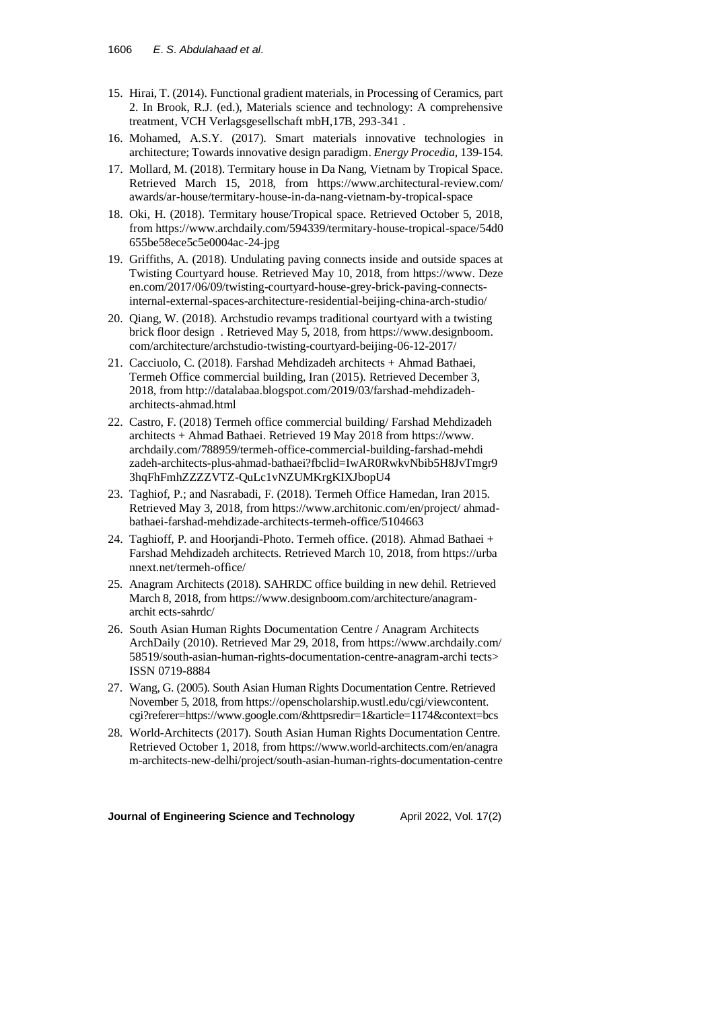- 15. Hirai, T. (2014). Functional gradient materials, in Processing of Ceramics, part 2. In Brook, R.J. (ed.), Materials science and technology: A comprehensive treatment, VCH Verlagsgesellschaft mbH,17B, 293-341 .
- 16. Mohamed, A.S.Y. (2017). Smart materials innovative technologies in architecture; Towards innovative design paradigm. *Energy Procedia*, 139-154.
- 17. Mollard, M. (2018). Termitary house in Da Nang, Vietnam by Tropical Space. Retrieved March 15, 2018, from <https://www.architectural-review.com/> awards/ar-house/termitary-house-in-da-nang-vietnam-by-tropical-space
- 18. Oki, H. (2018). Termitary house/Tropical space. Retrieved October 5, 2018, fro[m https://www.archdaily.com/594339/termitary-house-tropical-space/54d0](https://www.archdaily.com/594339/termitary-house-tropical-space/54d0%20655be58ece5c5e0004ac-24-jpg)  [655be58ece5c5e0004ac-24-jpg](https://www.archdaily.com/594339/termitary-house-tropical-space/54d0%20655be58ece5c5e0004ac-24-jpg)
- 19. Griffiths, A. (2018). [Undulating paving connects inside and outside spaces at](https://www.dezeen.com/2017/06/09/twisting-courtyard-house-grey-brick-paving-connects-internal-external-spaces-architecture-residential-beijing-china-arch-studio/)  [Twisting Courtyard house.](https://www.dezeen.com/2017/06/09/twisting-courtyard-house-grey-brick-paving-connects-internal-external-spaces-architecture-residential-beijing-china-arch-studio/) Retrieved May 10, 2018, from [https://www.](https://www/) Deze en.com/2017/06/09/twisting-courtyard-house-grey-brick-paving-connectsinternal-external-spaces-architecture-residential-beijing-china-arch-studio/
- 20. Qiang, W. (2018). Archstudio revamps traditional courtyard with a twisting brick floor design . Retrieved May 5, 2018, from https://www.designboom. com/architecture/archstudio-twisting-courtyard-beijing-06-12-2017/
- 21. Cacciuolo, C. (2018). Farshad Mehdizadeh architects + Ahmad Bathaei, Termeh Office commercial building, Iran (2015). Retrieved December 3, 2018, from [http://datalabaa.blogspot.com/2019/03/farshad-mehdizadeh](http://datalabaa.blogspot.com/2019/03/farshad-mehdizadeh-architects-ahmad.html)[architects-ahmad.html](http://datalabaa.blogspot.com/2019/03/farshad-mehdizadeh-architects-ahmad.html)
- 22. Castro, F. (2018) Termeh office commercial building/ Farshad Mehdizadeh architects + Ahmad Bathaei. Retrieved 19 May 2018 from https://www. archdaily.com/788959/termeh-office-commercial-building-farshad-mehdi zadeh-architects-plus-ahmad-bathaei?fbclid=IwAR0RwkvNbib5H8JvTmgr9 3hqFhFmhZZZZVTZ-QuLc1vNZUMKrgKIXJbopU4
- 23. Taghiof, P.; and Nasrabadi, F. (2018). Termeh Office Hamedan, Iran 2015. Retrieved May 3, 2018, from [https://www.architonic.com/en/project/ ahmad](https://www.architonic.com/en/project/%20ahmad-bathaei-farshad-mehdizade-architects-termeh-office/5104663)[bathaei-farshad-mehdizade-architects-termeh-office/5104663](https://www.architonic.com/en/project/%20ahmad-bathaei-farshad-mehdizade-architects-termeh-office/5104663)
- 24. Taghioff, P. and Hoorjandi-Photo. Termeh office. (2018). Ahmad Bathaei + Farshad Mehdizadeh architects. Retrieved March 10, 2018, from https://urba nnext.net/termeh-office/
- 25. Anagram Architects (2018). SAHRDC office building in new dehil. Retrieved March 8, 2018, fro[m https://www.designboom.com/architecture/anagram](https://www.designboom.com/architecture/anagram-architects-sahrdc/)[archit ects-sahrdc/](https://www.designboom.com/architecture/anagram-architects-sahrdc/)
- 26. South Asian Human Rights Documentation Centre / Anagram Architects ArchDaily (2010). Retrieved Mar 29, 2018, fro[m https://www.archdaily.](https://www.archdaily/)com/ 58519/south-asian-human-rights-documentation-centre-anagram-archi tects> ISSN 0719-8884
- 27. Wang, G. (2005). South Asian Human Rights Documentation Centre. Retrieved November 5, 2018, fro[m https://openscholarship.wustl.edu/cgi/viewcontent.](https://openscholarship.wustl.edu/cgi/viewcontent.%20cgi?referer=https://www.google.com/&httpsredir=1&article=1174&context=bcs)  [cgi?referer=https://www.google.com/&httpsredir=1&article=1174&context=bcs](https://openscholarship.wustl.edu/cgi/viewcontent.%20cgi?referer=https://www.google.com/&httpsredir=1&article=1174&context=bcs)
- 28. World-Architects (2017). South Asian Human Rights Documentation Centre. Retrieved October 1, 2018, from [https://www.world-architects.com/en/anagra](https://www.world-architects.com/en/anagra%20m-architects-new-delhi/project/south-asian-human-rights-documentation-centre)  [m-architects-new-delhi/project/south-asian-human-rights-documentation-centre](https://www.world-architects.com/en/anagra%20m-architects-new-delhi/project/south-asian-human-rights-documentation-centre)